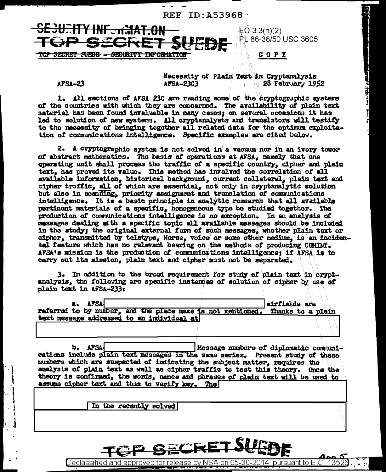

**AFSA-23** 

Necessity of Plain Text in Cryptanalysis 28 February 1952 AFSA-23C3

**gindi vi shda ve v** 

1. All sections of AFSA 23C are reading some of the cryptographic systems of the countries with which they are concerned. The availability of plain text material has been found invaluable in many cases; on several occasions it has led to solution of new systems. All cryptanalysts and translators will testify to the necessity of bringing together all related data for the optimum exploitation of communications intelligence. Specific examples are cited below.

2. A cryptographic system is not solved in a vacuum nor in an ivory tower of abstract mathematics. The basis of operations at AFSA, namely that one operating unit shall process the traffic of a specific country, cipher and plain text, has proved its value. This method has involved the correlation of all available information, historical background, current collateral, plain text and cipher traffic, all of which are essential, not only in cryptanalytic solution but also in scanning, priority assignment and translation of communications intelligence. It is a basic principle in analytic research that all available pertinent materials of a specific, homogeneous type be studied together. The production of communications intelligence is no exception. In an analysis of messages dealing with a specific topic all available messages should be included in the study; the original external form of such messages, whether plain text or cipher, transmitted by teletype, Morse, voice or some other medium, is an incidental feature which has no relevant bearing on the methods of producing COMINT. AFSA's mission is the production of communications intelligence; if AFSA is to carry out its mission, plain text and cipher must not be separated.

3. In addition to the broad requirement for study of plain text in cryptanalysis, the following are specific instances of solution of cipher by use of plain text in AFSA-233:

**AFSA** airfields are referred to by number, and the place name is not mentioned. Thanks to a plain text message addressed to an individual at

b. AFSA-Nessage numbers of diplomatic communications include plain text messages in the same series. Present study of these numbers which are suspected of indicating the subject matter, requires the analysis of plain text as well as cipher traffic to test this theory. Once the theory is confirmed, the words, names and phrases of plain text will be used to assume cipher text and thus to verify key. The

In the recently solved



Declassified and approved for release by NSA on 05-30-2014  $\,$  pursuant to E.O  $\,$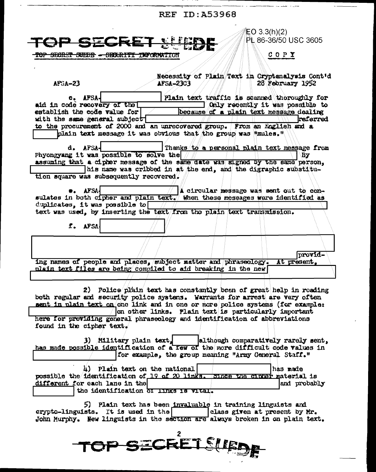**REF ID: A53968** 

| EO 3.3(h)(2)<br>PL 86-36/50 USC 3605                                                                                                       |  |  |  |  |
|--------------------------------------------------------------------------------------------------------------------------------------------|--|--|--|--|
| TOP SECRET SUED<br>$C$ O P $\chi$<br><del>- SECRET SUEDE - SECARITY INFORMATION</del>                                                      |  |  |  |  |
|                                                                                                                                            |  |  |  |  |
| Necessity of Plain Text in Cryptenalysis Cont'd                                                                                            |  |  |  |  |
| 28 February 1952<br>$AF5A-23$<br><b>AFSA-23C3</b>                                                                                          |  |  |  |  |
| Plain text traffic is scanned thoroughly for<br>c. AFSA-                                                                                   |  |  |  |  |
| aid in code recovery of the<br>Only recently it was possible to<br>establish the code value for<br>because of a plain text message dealing |  |  |  |  |
| with the same general subject<br>raferred                                                                                                  |  |  |  |  |
| to the procurement of 2000 and an unrecovered group. From an English and a                                                                 |  |  |  |  |
| plain text message it was obvious that the group was "mules."                                                                              |  |  |  |  |
| d. AFSA-<br>Thanks to a personal plain text message from                                                                                   |  |  |  |  |
| Phyongyang it was possible to solve the<br>Bу                                                                                              |  |  |  |  |
| assuming that a cipher message of the same date was signed by the same person,                                                             |  |  |  |  |
| his name was cribbed in at the end, and the digraphic substitu-<br>tion square was subsequently recovered.                                 |  |  |  |  |
|                                                                                                                                            |  |  |  |  |
| AFSA.<br>A circular message was sent out to con-                                                                                           |  |  |  |  |
| sulates in both cipher and plain text. When these messages were identified as<br>duplicates, it was possible to $\Box$                     |  |  |  |  |
| text was used, by inserting the text/from the plain text transmission.                                                                     |  |  |  |  |
|                                                                                                                                            |  |  |  |  |
| I. AFSA                                                                                                                                    |  |  |  |  |
|                                                                                                                                            |  |  |  |  |
| provid-                                                                                                                                    |  |  |  |  |
| ing names of people and places, subject matter and phraseology. At present,                                                                |  |  |  |  |
| plain text files are being compiled to aid breaking in the new                                                                             |  |  |  |  |
|                                                                                                                                            |  |  |  |  |
| 2) Police plain text has constantly been of great help in roading                                                                          |  |  |  |  |
| both regular and security police systems. Warrants for arrest are very often                                                               |  |  |  |  |
| sent in plain text on one link and in one or more police systems (for example:                                                             |  |  |  |  |
| on other links. Plain text is particularly important<br>here for providing general phraseology and identification of abbreviations         |  |  |  |  |
| found in the cipher text.                                                                                                                  |  |  |  |  |
| 3) Military plain text,<br>although comparatively rarely sent,                                                                             |  |  |  |  |
| has made possible identification of a few of the more difficult code values in                                                             |  |  |  |  |
| for example, the group meaning "Army General Staff."                                                                                       |  |  |  |  |
| 4) Plain text on the national<br>has made                                                                                                  |  |  |  |  |
| possible the identification of 19 of 20 links. Since the cinner material is                                                                |  |  |  |  |
| different for each lane in the<br>and probably                                                                                             |  |  |  |  |
| the identification of IInks is vital.                                                                                                      |  |  |  |  |
| 5) Plain text has been invaluable in training linguists and                                                                                |  |  |  |  |
| crypto-linguists. It is used in the<br>class given at present by Mr.                                                                       |  |  |  |  |
| John Murphy. Hew linguists in the section are always broken in on plain text.                                                              |  |  |  |  |

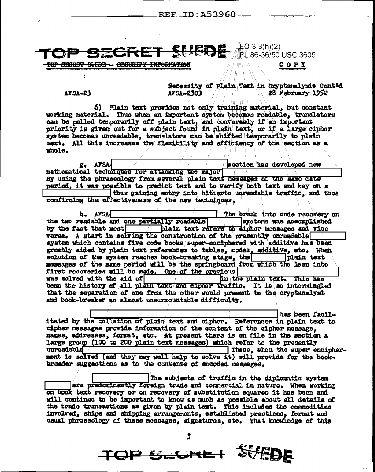|  | <b>TO GECEET CIERE</b> E <sup>0 3.3(h)(2)</sup>       |
|--|-------------------------------------------------------|
|  | <b>IN WE SENDING IN SEPTEMBER AND RESIST USC 3605</b> |

COPI

 $\triangle$ FSA-23

TOP SECRET SUEDE - SEGURITY INFORMATION

Necessity of Plain Text in Cryptanalysis Cont'd 28 February 1952 AFSA-23C3

6) Plain text provides not only training material, but constant working material. Thus when an important system becomes readable. translators can be pulled temporarily off plain text, and conversely if an important priority is given out for a subject found in plain text, or if a large cipher system becomes unreadable, translators can be shifted temporarily to plain text. All this increases the flexibility and efficiency of the section as a  $mode.$ g. AFSAsection has developed new

mathematical techniques for attacking the major By using the phraseology from several plain text messages of the same date period, it was possible to predict text and to verify both text and key on a thus gaining entry into hitherto unreadable traffic, and thus confirming the offectiveness of the new techniques.

h. AFSA The break into code recovery on the two readable and one partially readable systoms was accomplished by the fact that most plain text refers to cipher messages and vice versa. A start in solving the construction of the presently unreadable system which contains five code books super-enciphered with additive has been greatly aided by plain text references to tables, codes, additive, etc. When solution of the system reaches book-breaking stage, the |plain\_text\_ messages of the same period will be the springboard from which the leap into first recoveries will be made. One of the previous was solved with the aid of in the plain text. This has been the history of all plain text and cipher traffic. It is so intermingled that the separation of one from the other would present to the cryptanalyst and book-breaker an almost unsurmountable difficulty.

has been facilitated by the collation of plain text and oipher. References in plain text to cipher messages provide information of the content of the cipher message, names, addresses, format, etc. At present there is on file in the section a large group (100 to 200 plain text messages) which refer to the presently unreadable These, when the super encipherment is solved (and they may well help to solve it) will provide for the bookbreader suggestions as to the contents of encoded messages.

The subjects of traffic in the diplomatic system are predominantly foreign trade and commercial in naturo. When working on book text recovery or on recovery of substitution squares it has been and will continue to be important to know as much as possible about all details of the trade transactions as given by plain text. This includes the commodities involved, ships and shipping arrangements, established practices, format and usual phraseology of these messages, signatures, etc. That knowledge of this

TOP SCHEL SUBDE